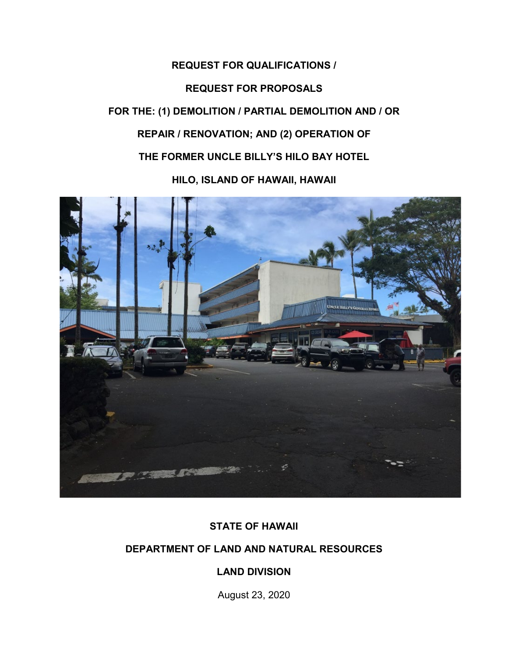# **REQUEST FOR QUALIFICATIONS / REQUEST FOR PROPOSALS FOR THE: (1) DEMOLITION / PARTIAL DEMOLITION AND / OR REPAIR / RENOVATION; AND (2) OPERATION OF THE FORMER UNCLE BILLY'S HILO BAY HOTEL**

**HILO, ISLAND OF HAWAII, HAWAII**



# **STATE OF HAWAII**

# **DEPARTMENT OF LAND AND NATURAL RESOURCES**

# **LAND DIVISION**

August 23, 2020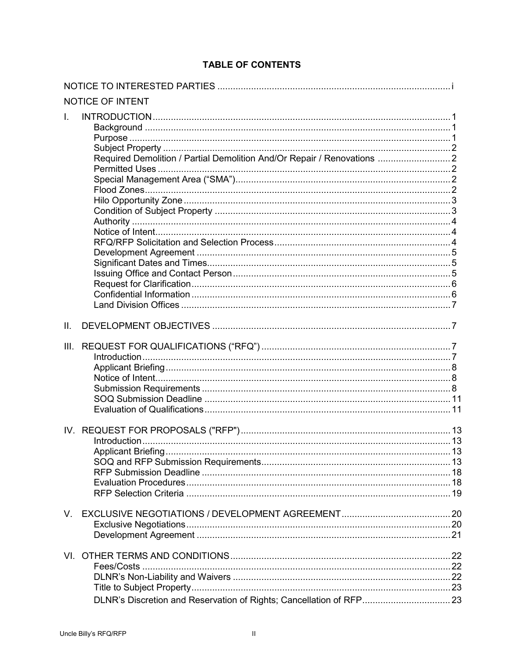|              | NOTICE OF INTENT                                                       |  |
|--------------|------------------------------------------------------------------------|--|
| $\mathbf{L}$ | Required Demolition / Partial Demolition And/Or Repair / Renovations 2 |  |
| II.          |                                                                        |  |
| III.         |                                                                        |  |
|              |                                                                        |  |
| $V_{\cdot}$  |                                                                        |  |
|              |                                                                        |  |

# **TABLE OF CONTENTS**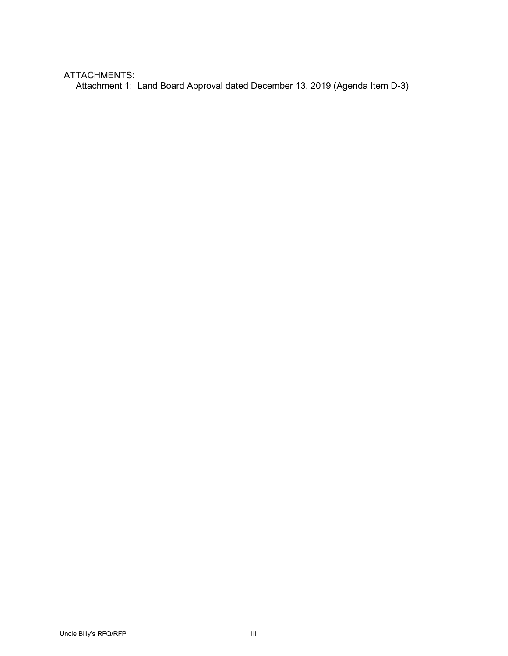# ATTACHMENTS:

Attachment 1: Land Board Approval dated December 13, 2019 (Agenda Item D-3)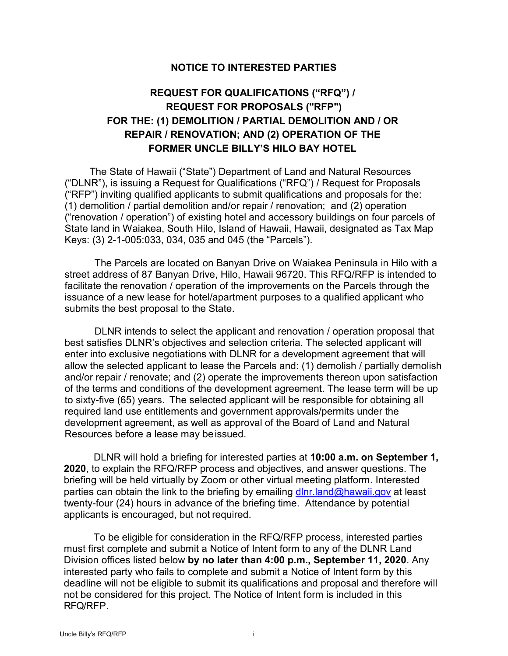# **NOTICE TO INTERESTED PARTIES**

# **REQUEST FOR QUALIFICATIONS ("RFQ") / REQUEST FOR PROPOSALS ("RFP") FOR THE: (1) DEMOLITION / PARTIAL DEMOLITION AND / OR REPAIR / RENOVATION; AND (2) OPERATION OF THE FORMER UNCLE BILLY'S HILO BAY HOTEL**

The State of Hawaii ("State") Department of Land and Natural Resources ("DLNR"), is issuing a Request for Qualifications ("RFQ") / Request for Proposals ("RFP") inviting qualified applicants to submit qualifications and proposals for the: (1) demolition / partial demolition and/or repair / renovation; and (2) operation ("renovation / operation") of existing hotel and accessory buildings on four parcels of State land in Waiakea, South Hilo, Island of Hawaii, Hawaii, designated as Tax Map Keys: (3) 2-1-005:033, 034, 035 and 045 (the "Parcels").

The Parcels are located on Banyan Drive on Waiakea Peninsula in Hilo with a street address of 87 Banyan Drive, Hilo, Hawaii 96720. This RFQ/RFP is intended to facilitate the renovation / operation of the improvements on the Parcels through the issuance of a new lease for hotel/apartment purposes to a qualified applicant who submits the best proposal to the State.

DLNR intends to select the applicant and renovation / operation proposal that best satisfies DLNR's objectives and selection criteria. The selected applicant will enter into exclusive negotiations with DLNR for a development agreement that will allow the selected applicant to lease the Parcels and: (1) demolish / partially demolish and/or repair / renovate; and (2) operate the improvements thereon upon satisfaction of the terms and conditions of the development agreement. The lease term will be up to sixty-five (65) years. The selected applicant will be responsible for obtaining all required land use entitlements and government approvals/permits under the development agreement, as well as approval of the Board of Land and Natural Resources before a lease may beissued.

DLNR will hold a briefing for interested parties at **10:00 a.m. on September 1, 2020**, to explain the RFQ/RFP process and objectives, and answer questions. The briefing will be held virtually by Zoom or other virtual meeting platform. Interested parties can obtain the link to the briefing by emailing [dlnr.land@hawaii.gov](mailto:dlnr.land@hawaii.gov) at least twenty-four (24) hours in advance of the briefing time. Attendance by potential applicants is encouraged, but not required.

To be eligible for consideration in the RFQ/RFP process, interested parties must first complete and submit a Notice of Intent form to any of the DLNR Land Division offices listed below **by no later than 4:00 p.m., September 11, 2020**. Any interested party who fails to complete and submit a Notice of Intent form by this deadline will not be eligible to submit its qualifications and proposal and therefore will not be considered for this project. The Notice of Intent form is included in this RFQ/RFP.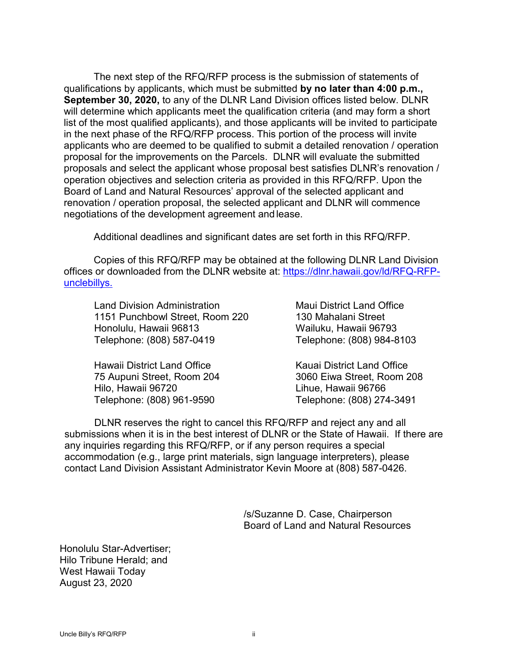The next step of the RFQ/RFP process is the submission of statements of qualifications by applicants, which must be submitted **by no later than 4:00 p.m., September 30, 2020,** to any of the DLNR Land Division offices listed below. DLNR will determine which applicants meet the qualification criteria (and may form a short list of the most qualified applicants), and those applicants will be invited to participate in the next phase of the RFQ/RFP process. This portion of the process will invite applicants who are deemed to be qualified to submit a detailed renovation / operation proposal for the improvements on the Parcels. DLNR will evaluate the submitted proposals and select the applicant whose proposal best satisfies DLNR's renovation / operation objectives and selection criteria as provided in this RFQ/RFP. Upon the Board of Land and Natural Resources' approval of the selected applicant and renovation / operation proposal, the selected applicant and DLNR will commence negotiations of the development agreement and lease.

Additional deadlines and significant dates are set forth in this RFQ/RFP.

Copies of this RFQ/RFP may be obtained at the following DLNR Land Division offices or downloaded from the DLNR website at: [https://dlnr.hawaii.gov/ld/RFQ-RFP](https://dlnr.hawaii.gov/ld/RFQ-RFP-unclebillys.)[unclebillys.](https://dlnr.hawaii.gov/ld/RFQ-RFP-unclebillys.)

Land Division Administration 1151 Punchbowl Street, Room 220 Honolulu, Hawaii 96813 Telephone: (808) 587-0419

Maui District Land Office 130 Mahalani Street Wailuku, Hawaii 96793 Telephone: (808) 984-8103

Hawaii District Land Office 75 Aupuni Street, Room 204 Hilo, Hawaii 96720 Telephone: (808) 961-9590

Kauai District Land Office 3060 Eiwa Street, Room 208 Lihue, Hawaii 96766 Telephone: (808) 274-3491

DLNR reserves the right to cancel this RFQ/RFP and reject any and all submissions when it is in the best interest of DLNR or the State of Hawaii. If there are any inquiries regarding this RFQ/RFP, or if any person requires a special accommodation (e.g., large print materials, sign language interpreters), please contact Land Division Assistant Administrator Kevin Moore at (808) 587-0426.

> /s/Suzanne D. Case, Chairperson Board of Land and Natural Resources

Honolulu Star-Advertiser; Hilo Tribune Herald; and West Hawaii Today August 23, 2020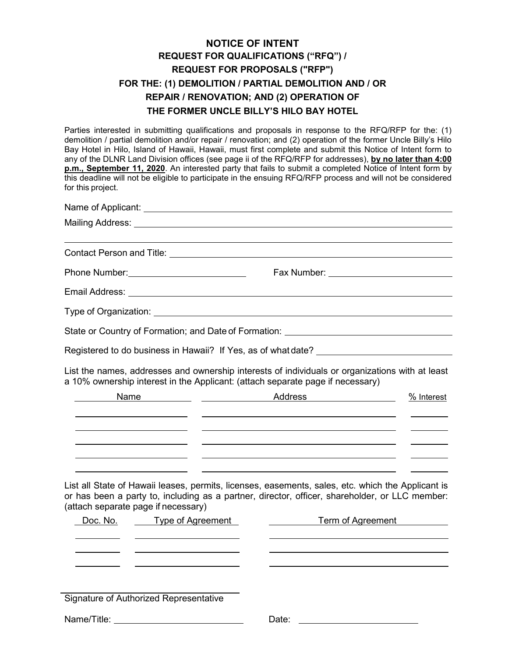# **NOTICE OF INTENT REQUEST FOR QUALIFICATIONS ("RFQ") / REQUEST FOR PROPOSALS ("RFP") FOR THE: (1) DEMOLITION / PARTIAL DEMOLITION AND / OR REPAIR / RENOVATION; AND (2) OPERATION OF THE FORMER UNCLE BILLY'S HILO BAY HOTEL**

Parties interested in submitting qualifications and proposals in response to the RFQ/RFP for the: (1) demolition / partial demolition and/or repair / renovation; and (2) operation of the former Uncle Billy's Hilo Bay Hotel in Hilo, Island of Hawaii, Hawaii, must first complete and submit this Notice of Intent form to any of the DLNR Land Division offices (see page ii of the RFQ/RFP for addresses), **by no later than 4:00 p.m., September 11, 2020**. An interested party that fails to submit a completed Notice of Intent form by this deadline will not be eligible to participate in the ensuing RFQ/RFP process and will not be considered for this project.

|  | State or Country of Formation; and Date of Formation: ___________________________                                                                                                                                                                                                                                                                             |            |  |  |  |  |
|--|---------------------------------------------------------------------------------------------------------------------------------------------------------------------------------------------------------------------------------------------------------------------------------------------------------------------------------------------------------------|------------|--|--|--|--|
|  | Registered to do business in Hawaii? If Yes, as of what date? [100] [2012 Connection of Registered to do business in Hawaii? If Yes, as of what date?                                                                                                                                                                                                         |            |  |  |  |  |
|  | List the names, addresses and ownership interests of individuals or organizations with at least<br>a 10% ownership interest in the Applicant: (attach separate page if necessary)                                                                                                                                                                             |            |  |  |  |  |
|  | Name Manner Manner Address Manner Manner Manner Manner Manner Manner Manner Manner Manner Manner Manner Manner                                                                                                                                                                                                                                                | % Interest |  |  |  |  |
|  | <u> 2000 - Jan Barristo, amerikan basar basar basar basar basar basar basar basar basar basar basar basar basar b</u><br><u>some started and the started and the started and the started and the started and the started and the started and the started and the started and the started and the started and the started and the started and the started </u> |            |  |  |  |  |
|  | <u> 1990 - Jacques Maria (h. 1980).</u> Maria eta bizkaitzari eta bizkaitzari zuen 1990. eta bizkaitzari zuen baina e                                                                                                                                                                                                                                         |            |  |  |  |  |
|  | <u> 2000 - Andrea Andrea Andrea Andrea Andrea Andrea Andrea Andrea Andrea Andrea Andrea Andrea Andrea Andrea Andr</u><br><u> 1989 - Johann Stein, mars an deutscher Stein und der Stein und der Stein und der Stein und der Stein und der</u>                                                                                                                 |            |  |  |  |  |
|  | List all State of Hawaii leases, permits, licenses, easements, sales, etc. which the Applicant is                                                                                                                                                                                                                                                             |            |  |  |  |  |

or has been a party to, including as a partner, director, officer, shareholder, or LLC member: (attach separate page if necessary)

| Doc. No.    | Type of Agreement                      | Term of Agreement |  |
|-------------|----------------------------------------|-------------------|--|
|             |                                        |                   |  |
|             |                                        |                   |  |
|             |                                        |                   |  |
|             |                                        |                   |  |
|             |                                        |                   |  |
|             | Signature of Authorized Representative |                   |  |
| Name/Title: |                                        | Date:             |  |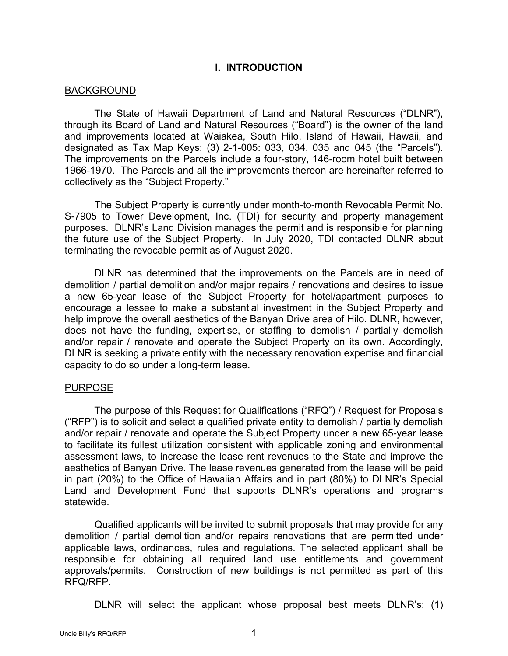## **I. INTRODUCTION**

#### BACKGROUND

The State of Hawaii Department of Land and Natural Resources ("DLNR"), through its Board of Land and Natural Resources ("Board") is the owner of the land and improvements located at Waiakea, South Hilo, Island of Hawaii, Hawaii, and designated as Tax Map Keys: (3) 2-1-005: 033, 034, 035 and 045 (the "Parcels"). The improvements on the Parcels include a four-story, 146-room hotel built between 1966-1970. The Parcels and all the improvements thereon are hereinafter referred to collectively as the "Subject Property."

The Subject Property is currently under month-to-month Revocable Permit No. S-7905 to Tower Development, Inc. (TDI) for security and property management purposes. DLNR's Land Division manages the permit and is responsible for planning the future use of the Subject Property. In July 2020, TDI contacted DLNR about terminating the revocable permit as of August 2020.

DLNR has determined that the improvements on the Parcels are in need of demolition / partial demolition and/or major repairs / renovations and desires to issue a new 65-year lease of the Subject Property for hotel/apartment purposes to encourage a lessee to make a substantial investment in the Subject Property and help improve the overall aesthetics of the Banyan Drive area of Hilo. DLNR, however, does not have the funding, expertise, or staffing to demolish / partially demolish and/or repair / renovate and operate the Subject Property on its own. Accordingly, DLNR is seeking a private entity with the necessary renovation expertise and financial capacity to do so under a long-term lease.

#### PURPOSE

The purpose of this Request for Qualifications ("RFQ") / Request for Proposals ("RFP") is to solicit and select a qualified private entity to demolish / partially demolish and/or repair / renovate and operate the Subject Property under a new 65-year lease to facilitate its fullest utilization consistent with applicable zoning and environmental assessment laws, to increase the lease rent revenues to the State and improve the aesthetics of Banyan Drive. The lease revenues generated from the lease will be paid in part (20%) to the Office of Hawaiian Affairs and in part (80%) to DLNR's Special Land and Development Fund that supports DLNR's operations and programs statewide.

Qualified applicants will be invited to submit proposals that may provide for any demolition / partial demolition and/or repairs renovations that are permitted under applicable laws, ordinances, rules and regulations. The selected applicant shall be responsible for obtaining all required land use entitlements and government approvals/permits. Construction of new buildings is not permitted as part of this RFQ/RFP.

DLNR will select the applicant whose proposal best meets DLNR's: (1)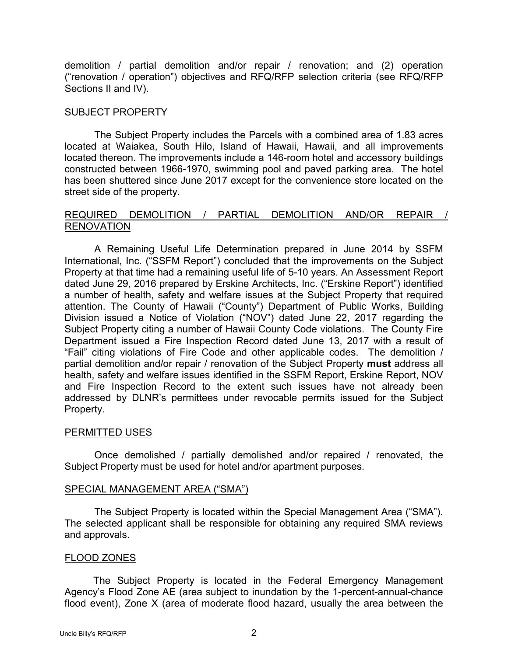demolition / partial demolition and/or repair / renovation; and (2) operation ("renovation / operation") objectives and RFQ/RFP selection criteria (see RFQ/RFP Sections II and IV).

### SUBJECT PROPERTY

The Subject Property includes the Parcels with a combined area of 1.83 acres located at Waiakea, South Hilo, Island of Hawaii, Hawaii, and all improvements located thereon. The improvements include a 146-room hotel and accessory buildings constructed between 1966-1970, swimming pool and paved parking area. The hotel has been shuttered since June 2017 except for the convenience store located on the street side of the property.

## REQUIRED DEMOLITION / PARTIAL DEMOLITION AND/OR REPAIR / **RENOVATION**

A Remaining Useful Life Determination prepared in June 2014 by SSFM International, Inc. ("SSFM Report") concluded that the improvements on the Subject Property at that time had a remaining useful life of 5-10 years. An Assessment Report dated June 29, 2016 prepared by Erskine Architects, Inc. ("Erskine Report") identified a number of health, safety and welfare issues at the Subject Property that required attention. The County of Hawaii ("County") Department of Public Works, Building Division issued a Notice of Violation ("NOV") dated June 22, 2017 regarding the Subject Property citing a number of Hawaii County Code violations. The County Fire Department issued a Fire Inspection Record dated June 13, 2017 with a result of "Fail" citing violations of Fire Code and other applicable codes. The demolition / partial demolition and/or repair / renovation of the Subject Property **must** address all health, safety and welfare issues identified in the SSFM Report, Erskine Report, NOV and Fire Inspection Record to the extent such issues have not already been addressed by DLNR's permittees under revocable permits issued for the Subject Property.

# PERMITTED USES

Once demolished / partially demolished and/or repaired / renovated, the Subject Property must be used for hotel and/or apartment purposes.

#### SPECIAL MANAGEMENT AREA ("SMA")

The Subject Property is located within the Special Management Area ("SMA"). The selected applicant shall be responsible for obtaining any required SMA reviews and approvals.

#### FLOOD ZONES

The Subject Property is located in the Federal Emergency Management Agency's Flood Zone AE (area subject to inundation by the 1-percent-annual-chance flood event), Zone X (area of moderate flood hazard, usually the area between the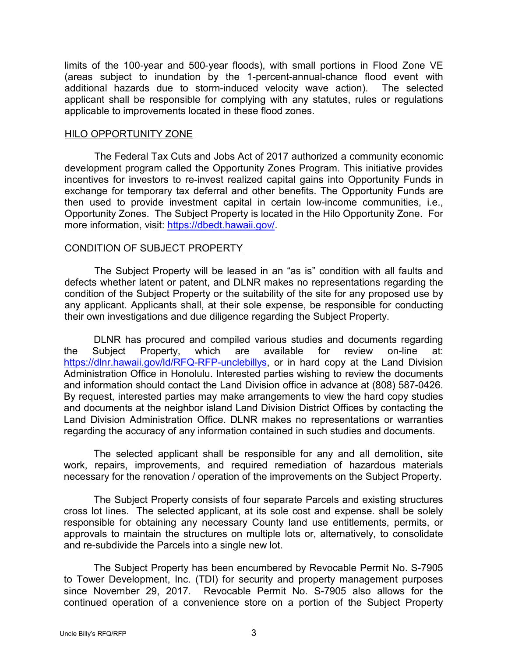limits of the 100‐year and 500‐year floods), with small portions in Flood Zone VE (areas subject to inundation by the 1-percent-annual-chance flood event with additional hazards due to storm-induced velocity wave action). The selected applicant shall be responsible for complying with any statutes, rules or regulations applicable to improvements located in these flood zones.

#### HILO OPPORTUNITY ZONE

The Federal Tax Cuts and Jobs Act of 2017 authorized a community economic development program called the Opportunity Zones Program. This initiative provides incentives for investors to re-invest realized capital gains into Opportunity Funds in exchange for temporary tax deferral and other benefits. The Opportunity Funds are then used to provide investment capital in certain low-income communities, i.e., Opportunity Zones. The Subject Property is located in the Hilo Opportunity Zone. For more information, visit: [https://dbedt.hawaii.gov/.](https://dbedt.hawaii.gov/)

#### CONDITION OF SUBJECT PROPERTY

The Subject Property will be leased in an "as is" condition with all faults and defects whether latent or patent, and DLNR makes no representations regarding the condition of the Subject Property or the suitability of the site for any proposed use by any applicant. Applicants shall, at their sole expense, be responsible for conducting their own investigations and due diligence regarding the Subject Property.

DLNR has procured and compiled various studies and documents regarding the Subject Property, which are available for review on-line at: [https://dlnr.hawaii.gov/ld/RFQ-RFP-unclebillys,](https://dlnr.hawaii.gov/ld/RFQ-RFP-unclebillys) or in hard copy at the Land Division Administration Office in Honolulu. Interested parties wishing to review the documents and information should contact the Land Division office in advance at (808) 587-0426. By request, interested parties may make arrangements to view the hard copy studies and documents at the neighbor island Land Division District Offices by contacting the Land Division Administration Office. DLNR makes no representations or warranties regarding the accuracy of any information contained in such studies and documents.

The selected applicant shall be responsible for any and all demolition, site work, repairs, improvements, and required remediation of hazardous materials necessary for the renovation / operation of the improvements on the Subject Property.

The Subject Property consists of four separate Parcels and existing structures cross lot lines. The selected applicant, at its sole cost and expense. shall be solely responsible for obtaining any necessary County land use entitlements, permits, or approvals to maintain the structures on multiple lots or, alternatively, to consolidate and re-subdivide the Parcels into a single new lot.

The Subject Property has been encumbered by Revocable Permit No. S-7905 to Tower Development, Inc. (TDI) for security and property management purposes since November 29, 2017. Revocable Permit No. S-7905 also allows for the continued operation of a convenience store on a portion of the Subject Property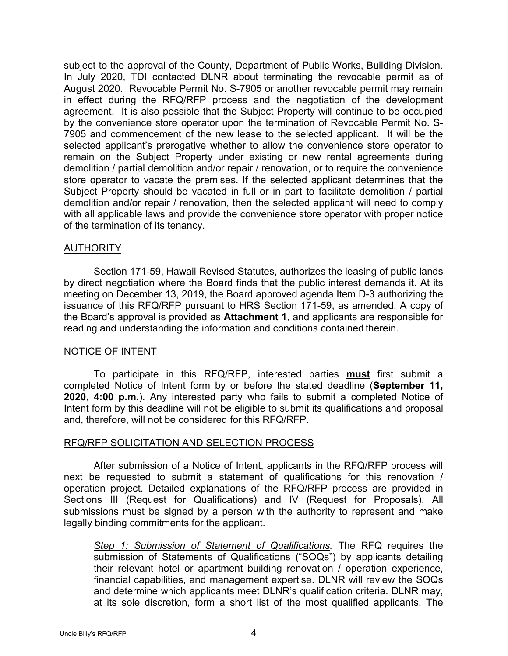subject to the approval of the County, Department of Public Works, Building Division. In July 2020, TDI contacted DLNR about terminating the revocable permit as of August 2020. Revocable Permit No. S-7905 or another revocable permit may remain in effect during the RFQ/RFP process and the negotiation of the development agreement. It is also possible that the Subject Property will continue to be occupied by the convenience store operator upon the termination of Revocable Permit No. S-7905 and commencement of the new lease to the selected applicant. It will be the selected applicant's prerogative whether to allow the convenience store operator to remain on the Subject Property under existing or new rental agreements during demolition / partial demolition and/or repair / renovation, or to require the convenience store operator to vacate the premises. If the selected applicant determines that the Subject Property should be vacated in full or in part to facilitate demolition / partial demolition and/or repair / renovation, then the selected applicant will need to comply with all applicable laws and provide the convenience store operator with proper notice of the termination of its tenancy.

#### AUTHORITY

Section 171-59, Hawaii Revised Statutes, authorizes the leasing of public lands by direct negotiation where the Board finds that the public interest demands it. At its meeting on December 13, 2019, the Board approved agenda Item D-3 authorizing the issuance of this RFQ/RFP pursuant to HRS Section 171-59, as amended. A copy of the Board's approval is provided as **Attachment 1**, and applicants are responsible for reading and understanding the information and conditions contained therein.

#### NOTICE OF INTENT

To participate in this RFQ/RFP, interested parties **must** first submit a completed Notice of Intent form by or before the stated deadline (**September 11, 2020, 4:00 p.m.**). Any interested party who fails to submit a completed Notice of Intent form by this deadline will not be eligible to submit its qualifications and proposal and, therefore, will not be considered for this RFQ/RFP.

#### RFQ/RFP SOLICITATION AND SELECTION PROCESS

After submission of a Notice of Intent, applicants in the RFQ/RFP process will next be requested to submit a statement of qualifications for this renovation / operation project. Detailed explanations of the RFQ/RFP process are provided in Sections III (Request for Qualifications) and IV (Request for Proposals). All submissions must be signed by a person with the authority to represent and make legally binding commitments for the applicant.

*Step 1: Submission of Statement of Qualifications.* The RFQ requires the submission of Statements of Qualifications ("SOQs") by applicants detailing their relevant hotel or apartment building renovation / operation experience, financial capabilities, and management expertise. DLNR will review the SOQs and determine which applicants meet DLNR's qualification criteria. DLNR may, at its sole discretion, form a short list of the most qualified applicants. The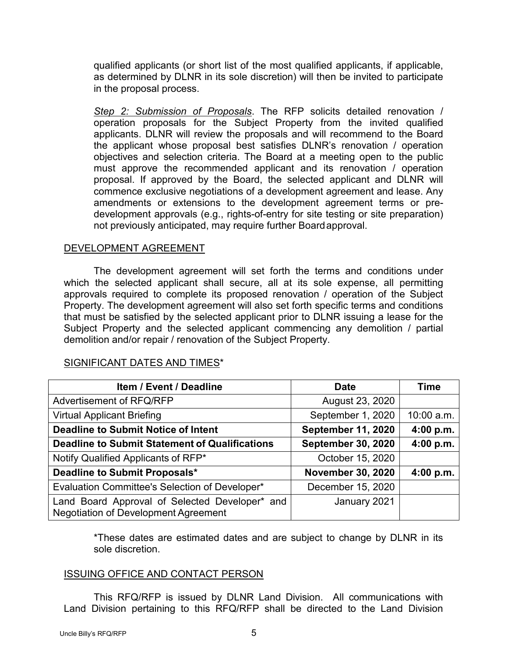qualified applicants (or short list of the most qualified applicants, if applicable, as determined by DLNR in its sole discretion) will then be invited to participate in the proposal process.

*Step 2: Submission of Proposals*. The RFP solicits detailed renovation / operation proposals for the Subject Property from the invited qualified applicants. DLNR will review the proposals and will recommend to the Board the applicant whose proposal best satisfies DLNR's renovation / operation objectives and selection criteria. The Board at a meeting open to the public must approve the recommended applicant and its renovation / operation proposal. If approved by the Board, the selected applicant and DLNR will commence exclusive negotiations of a development agreement and lease. Any amendments or extensions to the development agreement terms or predevelopment approvals (e.g., rights-of-entry for site testing or site preparation) not previously anticipated, may require further Boardapproval.

## DEVELOPMENT AGREEMENT

The development agreement will set forth the terms and conditions under which the selected applicant shall secure, all at its sole expense, all permitting approvals required to complete its proposed renovation / operation of the Subject Property. The development agreement will also set forth specific terms and conditions that must be satisfied by the selected applicant prior to DLNR issuing a lease for the Subject Property and the selected applicant commencing any demolition / partial demolition and/or repair / renovation of the Subject Property.

| <b>Item / Event / Deadline</b>                                                         | <b>Date</b>               | <b>Time</b> |
|----------------------------------------------------------------------------------------|---------------------------|-------------|
| Advertisement of RFQ/RFP                                                               | August 23, 2020           |             |
| <b>Virtual Applicant Briefing</b>                                                      | September 1, 2020         | 10:00 a.m.  |
| <b>Deadline to Submit Notice of Intent</b>                                             | <b>September 11, 2020</b> | 4:00 p.m.   |
| Deadline to Submit Statement of Qualifications                                         | <b>September 30, 2020</b> | 4:00 p.m.   |
| Notify Qualified Applicants of RFP*                                                    | October 15, 2020          |             |
| Deadline to Submit Proposals*                                                          | <b>November 30, 2020</b>  | 4:00 p.m.   |
| Evaluation Committee's Selection of Developer*                                         | December 15, 2020         |             |
| Land Board Approval of Selected Developer* and<br>Negotiation of Development Agreement | January 2021              |             |

#### SIGNIFICANT DATES AND TIMES\*

\*These dates are estimated dates and are subject to change by DLNR in its sole discretion.

#### ISSUING OFFICE AND CONTACT PERSON

This RFQ/RFP is issued by DLNR Land Division. All communications with Land Division pertaining to this RFQ/RFP shall be directed to the Land Division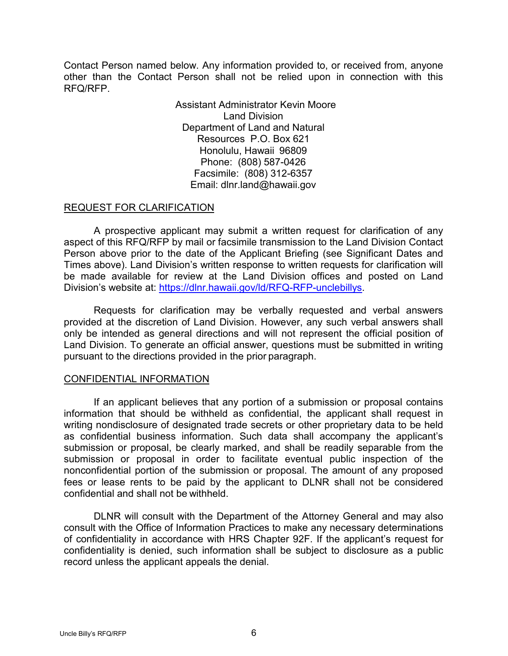Contact Person named below. Any information provided to, or received from, anyone other than the Contact Person shall not be relied upon in connection with this RFQ/RFP.

> Assistant Administrator Kevin Moore Land Division Department of Land and Natural Resources P.O. Box 621 Honolulu, Hawaii 96809 Phone: (808) 587-0426 Facsimile: (808) 312-6357 Email: dlnr.land@hawaii.gov

## REQUEST FOR CLARIFICATION

A prospective applicant may submit a written request for clarification of any aspect of this RFQ/RFP by mail or facsimile transmission to the Land Division Contact Person above prior to the date of the Applicant Briefing (see Significant Dates and Times above). Land Division's written response to written requests for clarification will be made available for review at the Land Division offices and posted on Land Division's website at: [https://dlnr.hawaii.gov/ld/RFQ-RFP-unclebillys.](https://dlnr.hawaii.gov/ld/RFQ-RFP-unclebillys)

Requests for clarification may be verbally requested and verbal answers provided at the discretion of Land Division. However, any such verbal answers shall only be intended as general directions and will not represent the official position of Land Division. To generate an official answer, questions must be submitted in writing pursuant to the directions provided in the prior paragraph.

#### CONFIDENTIAL INFORMATION

If an applicant believes that any portion of a submission or proposal contains information that should be withheld as confidential, the applicant shall request in writing nondisclosure of designated trade secrets or other proprietary data to be held as confidential business information. Such data shall accompany the applicant's submission or proposal, be clearly marked, and shall be readily separable from the submission or proposal in order to facilitate eventual public inspection of the nonconfidential portion of the submission or proposal. The amount of any proposed fees or lease rents to be paid by the applicant to DLNR shall not be considered confidential and shall not be withheld.

DLNR will consult with the Department of the Attorney General and may also consult with the Office of Information Practices to make any necessary determinations of confidentiality in accordance with HRS Chapter 92F. If the applicant's request for confidentiality is denied, such information shall be subject to disclosure as a public record unless the applicant appeals the denial.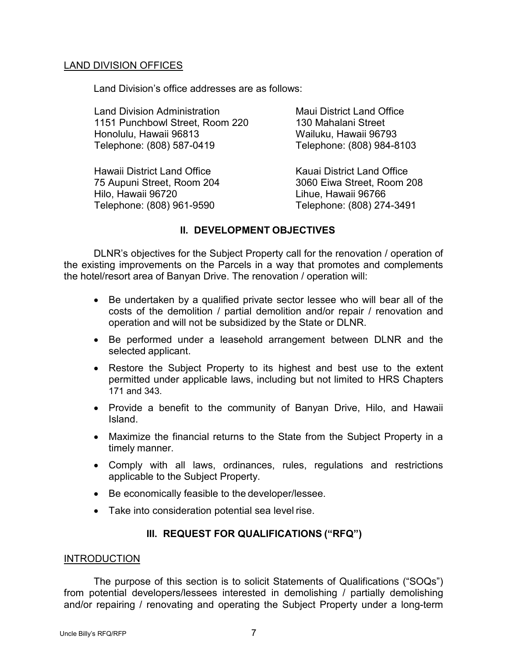## LAND DIVISION OFFICES

Land Division's office addresses are as follows:

Land Division Administration 1151 Punchbowl Street, Room 220 Honolulu, Hawaii 96813 Telephone: (808) 587-0419

Hawaii District Land Office 75 Aupuni Street, Room 204 Hilo, Hawaii 96720 Telephone: (808) 961-9590

Maui District Land Office 130 Mahalani Street Wailuku, Hawaii 96793 Telephone: (808) 984-8103

Kauai District Land Office 3060 Eiwa Street, Room 208 Lihue, Hawaii 96766 Telephone: (808) 274-3491

# **II. DEVELOPMENT OBJECTIVES**

DLNR's objectives for the Subject Property call for the renovation / operation of the existing improvements on the Parcels in a way that promotes and complements the hotel/resort area of Banyan Drive. The renovation / operation will:

- Be undertaken by a qualified private sector lessee who will bear all of the costs of the demolition / partial demolition and/or repair / renovation and operation and will not be subsidized by the State or DLNR.
- Be performed under a leasehold arrangement between DLNR and the selected applicant.
- Restore the Subject Property to its highest and best use to the extent permitted under applicable laws, including but not limited to HRS Chapters 171 and 343.
- Provide a benefit to the community of Banyan Drive, Hilo, and Hawaii Island.
- Maximize the financial returns to the State from the Subject Property in a timely manner.
- Comply with all laws, ordinances, rules, regulations and restrictions applicable to the Subject Property.
- Be economically feasible to the developer/lessee.
- Take into consideration potential sea level rise.

# **III. REQUEST FOR QUALIFICATIONS ("RFQ")**

#### INTRODUCTION

The purpose of this section is to solicit Statements of Qualifications ("SOQs") from potential developers/lessees interested in demolishing / partially demolishing and/or repairing / renovating and operating the Subject Property under a long-term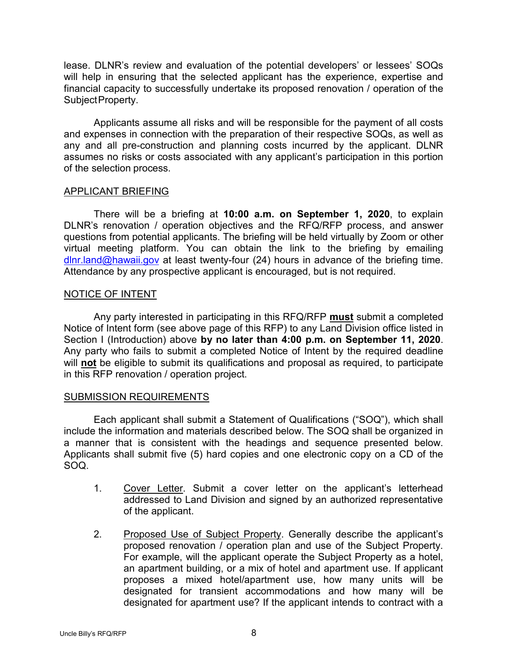lease. DLNR's review and evaluation of the potential developers' or lessees' SOQs will help in ensuring that the selected applicant has the experience, expertise and financial capacity to successfully undertake its proposed renovation / operation of the SubjectProperty.

Applicants assume all risks and will be responsible for the payment of all costs and expenses in connection with the preparation of their respective SOQs, as well as any and all pre-construction and planning costs incurred by the applicant. DLNR assumes no risks or costs associated with any applicant's participation in this portion of the selection process.

#### APPLICANT BRIEFING

There will be a briefing at **10:00 a.m. on September 1, 2020**, to explain DLNR's renovation / operation objectives and the RFQ/RFP process, and answer questions from potential applicants. The briefing will be held virtually by Zoom or other virtual meeting platform. You can obtain the link to the briefing by emailing  $d$ lnr.land@hawaii.gov at least twenty-four (24) hours in advance of the briefing time. Attendance by any prospective applicant is encouraged, but is not required.

## NOTICE OF INTENT

Any party interested in participating in this RFQ/RFP **must** submit a completed Notice of Intent form (see above page of this RFP) to any Land Division office listed in Section I (Introduction) above **by no later than 4:00 p.m. on September 11, 2020**. Any party who fails to submit a completed Notice of Intent by the required deadline will **not** be eligible to submit its qualifications and proposal as required, to participate in this RFP renovation / operation project.

#### SUBMISSION REQUIREMENTS

Each applicant shall submit a Statement of Qualifications ("SOQ"), which shall include the information and materials described below. The SOQ shall be organized in a manner that is consistent with the headings and sequence presented below. Applicants shall submit five (5) hard copies and one electronic copy on a CD of the SOQ.

- 1. Cover Letter. Submit a cover letter on the applicant's letterhead addressed to Land Division and signed by an authorized representative of the applicant.
- 2. Proposed Use of Subject Property. Generally describe the applicant's proposed renovation / operation plan and use of the Subject Property. For example, will the applicant operate the Subject Property as a hotel, an apartment building, or a mix of hotel and apartment use. If applicant proposes a mixed hotel/apartment use, how many units will be designated for transient accommodations and how many will be designated for apartment use? If the applicant intends to contract with a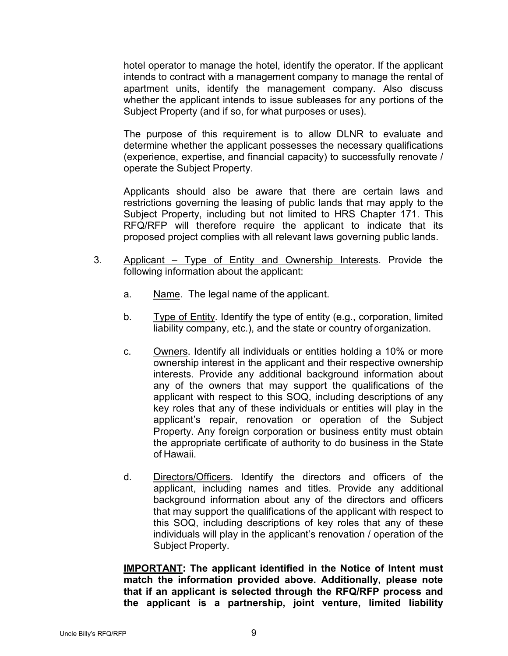hotel operator to manage the hotel, identify the operator. If the applicant intends to contract with a management company to manage the rental of apartment units, identify the management company. Also discuss whether the applicant intends to issue subleases for any portions of the Subject Property (and if so, for what purposes or uses).

The purpose of this requirement is to allow DLNR to evaluate and determine whether the applicant possesses the necessary qualifications (experience, expertise, and financial capacity) to successfully renovate / operate the Subject Property.

Applicants should also be aware that there are certain laws and restrictions governing the leasing of public lands that may apply to the Subject Property, including but not limited to HRS Chapter 171. This RFQ/RFP will therefore require the applicant to indicate that its proposed project complies with all relevant laws governing public lands.

- 3. Applicant Type of Entity and Ownership Interests. Provide the following information about the applicant:
	- a. Name. The legal name of the applicant.
	- b. Type of Entity. Identify the type of entity (e.g., corporation, limited liability company, etc.), and the state or country of organization.
	- c. Owners. Identify all individuals or entities holding a 10% or more ownership interest in the applicant and their respective ownership interests. Provide any additional background information about any of the owners that may support the qualifications of the applicant with respect to this SOQ, including descriptions of any key roles that any of these individuals or entities will play in the applicant's repair, renovation or operation of the Subject Property. Any foreign corporation or business entity must obtain the appropriate certificate of authority to do business in the State of Hawaii.
	- d. Directors/Officers. Identify the directors and officers of the applicant, including names and titles. Provide any additional background information about any of the directors and officers that may support the qualifications of the applicant with respect to this SOQ, including descriptions of key roles that any of these individuals will play in the applicant's renovation / operation of the Subject Property.

**IMPORTANT: The applicant identified in the Notice of Intent must match the information provided above. Additionally, please note that if an applicant is selected through the RFQ/RFP process and the applicant is a partnership, joint venture, limited liability**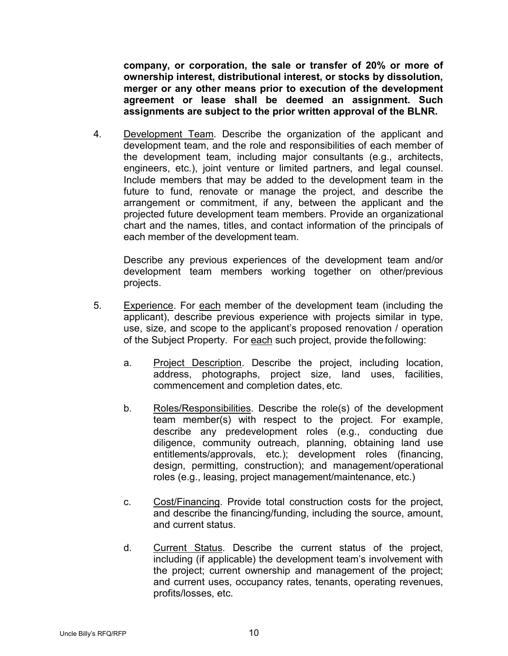**company, or corporation, the sale or transfer of 20% or more of ownership interest, distributional interest, or stocks by dissolution, merger or any other means prior to execution of the development agreement or lease shall be deemed an assignment. Such assignments are subject to the prior written approval of the BLNR.**

4. Development Team. Describe the organization of the applicant and development team, and the role and responsibilities of each member of the development team, including major consultants (e.g., architects, engineers, etc.), joint venture or limited partners, and legal counsel. Include members that may be added to the development team in the future to fund, renovate or manage the project, and describe the arrangement or commitment, if any, between the applicant and the projected future development team members. Provide an organizational chart and the names, titles, and contact information of the principals of each member of the development team.

Describe any previous experiences of the development team and/or development team members working together on other/previous projects.

- 5. Experience. For each member of the development team (including the applicant), describe previous experience with projects similar in type, use, size, and scope to the applicant's proposed renovation / operation of the Subject Property. For each such project, provide thefollowing:
	- a. Project Description. Describe the project, including location, address, photographs, project size, land uses, facilities, commencement and completion dates, etc.
	- b. Roles/Responsibilities. Describe the role(s) of the development team member(s) with respect to the project. For example, describe any predevelopment roles (e.g., conducting due diligence, community outreach, planning, obtaining land use entitlements/approvals, etc.); development roles (financing, design, permitting, construction); and management/operational roles (e.g., leasing, project management/maintenance, etc.)
	- c. Cost/Financing. Provide total construction costs for the project, and describe the financing/funding, including the source, amount, and current status.
	- d. Current Status. Describe the current status of the project, including (if applicable) the development team's involvement with the project; current ownership and management of the project; and current uses, occupancy rates, tenants, operating revenues, profits/losses, etc.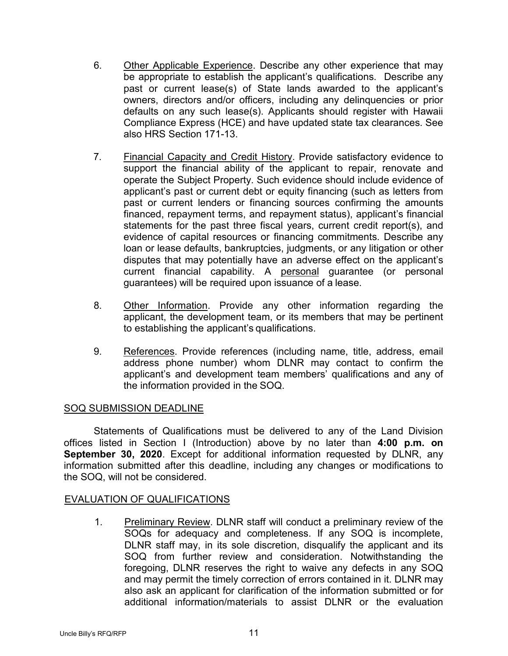- 6. Other Applicable Experience. Describe any other experience that may be appropriate to establish the applicant's qualifications. Describe any past or current lease(s) of State lands awarded to the applicant's owners, directors and/or officers, including any delinquencies or prior defaults on any such lease(s). Applicants should register with Hawaii Compliance Express (HCE) and have updated state tax clearances. See also HRS Section 171-13.
- 7. Financial Capacity and Credit History. Provide satisfactory evidence to support the financial ability of the applicant to repair, renovate and operate the Subject Property. Such evidence should include evidence of applicant's past or current debt or equity financing (such as letters from past or current lenders or financing sources confirming the amounts financed, repayment terms, and repayment status), applicant's financial statements for the past three fiscal years, current credit report(s), and evidence of capital resources or financing commitments. Describe any loan or lease defaults, bankruptcies, judgments, or any litigation or other disputes that may potentially have an adverse effect on the applicant's current financial capability. A personal guarantee (or personal guarantees) will be required upon issuance of a lease.
- 8. Other Information. Provide any other information regarding the applicant, the development team, or its members that may be pertinent to establishing the applicant's qualifications.
- 9. References. Provide references (including name, title, address, email address phone number) whom DLNR may contact to confirm the applicant's and development team members' qualifications and any of the information provided in the SOQ.

# SOQ SUBMISSION DEADLINE

Statements of Qualifications must be delivered to any of the Land Division offices listed in Section I (Introduction) above by no later than **4:00 p.m. on September 30, 2020**. Except for additional information requested by DLNR, any information submitted after this deadline, including any changes or modifications to the SOQ, will not be considered.

# EVALUATION OF QUALIFICATIONS

1. Preliminary Review. DLNR staff will conduct a preliminary review of the SOQs for adequacy and completeness. If any SOQ is incomplete, DLNR staff may, in its sole discretion, disqualify the applicant and its SOQ from further review and consideration. Notwithstanding the foregoing, DLNR reserves the right to waive any defects in any SOQ and may permit the timely correction of errors contained in it. DLNR may also ask an applicant for clarification of the information submitted or for additional information/materials to assist DLNR or the evaluation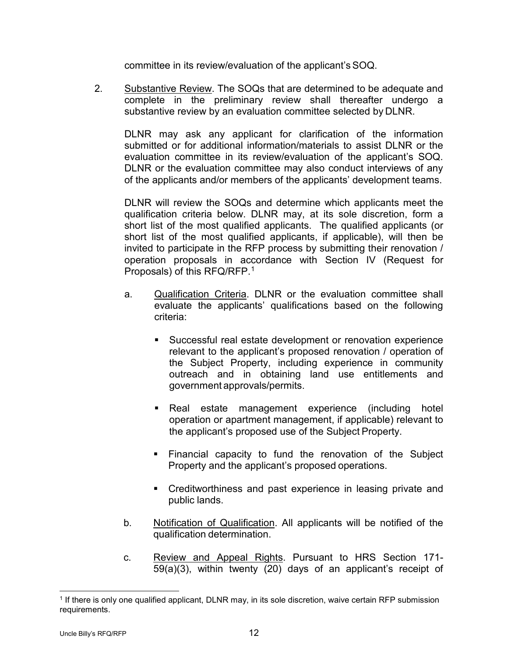committee in its review/evaluation of the applicant's SOQ.

2. Substantive Review. The SOQs that are determined to be adequate and complete in the preliminary review shall thereafter undergo a substantive review by an evaluation committee selected by DLNR.

DLNR may ask any applicant for clarification of the information submitted or for additional information/materials to assist DLNR or the evaluation committee in its review/evaluation of the applicant's SOQ. DLNR or the evaluation committee may also conduct interviews of any of the applicants and/or members of the applicants' development teams.

DLNR will review the SOQs and determine which applicants meet the qualification criteria below. DLNR may, at its sole discretion, form a short list of the most qualified applicants. The qualified applicants (or short list of the most qualified applicants, if applicable), will then be invited to participate in the RFP process by submitting their renovation / operation proposals in accordance with Section IV (Request for Proposals) of this RFQ/RFP.[1](#page-17-0)

- a. Qualification Criteria. DLNR or the evaluation committee shall evaluate the applicants' qualifications based on the following criteria:
	- Successful real estate development or renovation experience relevant to the applicant's proposed renovation / operation of the Subject Property, including experience in community outreach and in obtaining land use entitlements and government approvals/permits.
	- **Real estate management experience (including hotel** operation or apartment management, if applicable) relevant to the applicant's proposed use of the Subject Property.
	- Financial capacity to fund the renovation of the Subject Property and the applicant's proposed operations.
	- **Creditworthiness and past experience in leasing private and** public lands.
- b. Notification of Qualification. All applicants will be notified of the qualification determination.
- c. Review and Appeal Rights. Pursuant to HRS Section 171- 59(a)(3), within twenty (20) days of an applicant's receipt of

<span id="page-17-0"></span> <sup>1</sup> If there is only one qualified applicant, DLNR may, in its sole discretion, waive certain RFP submission requirements.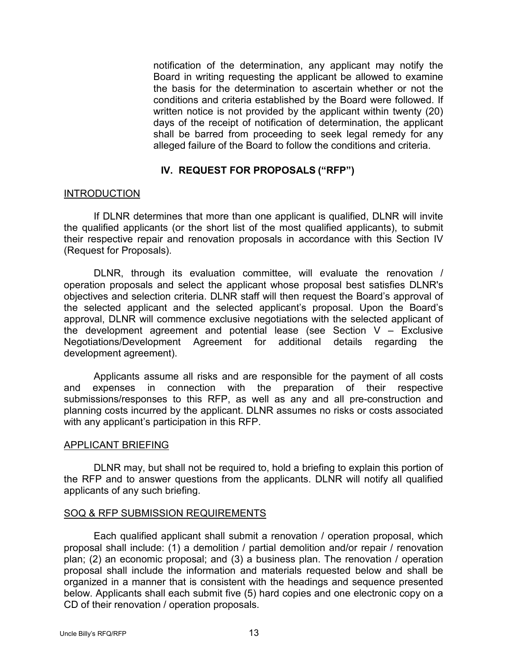notification of the determination, any applicant may notify the Board in writing requesting the applicant be allowed to examine the basis for the determination to ascertain whether or not the conditions and criteria established by the Board were followed. If written notice is not provided by the applicant within twenty (20) days of the receipt of notification of determination, the applicant shall be barred from proceeding to seek legal remedy for any alleged failure of the Board to follow the conditions and criteria.

## **IV. REQUEST FOR PROPOSALS ("RFP")**

#### INTRODUCTION

If DLNR determines that more than one applicant is qualified, DLNR will invite the qualified applicants (or the short list of the most qualified applicants), to submit their respective repair and renovation proposals in accordance with this Section IV (Request for Proposals).

DLNR, through its evaluation committee, will evaluate the renovation / operation proposals and select the applicant whose proposal best satisfies DLNR's objectives and selection criteria. DLNR staff will then request the Board's approval of the selected applicant and the selected applicant's proposal. Upon the Board's approval, DLNR will commence exclusive negotiations with the selected applicant of the development agreement and potential lease (see Section V – Exclusive Negotiations/Development Agreement for additional details regarding the development agreement).

Applicants assume all risks and are responsible for the payment of all costs and expenses in connection with the preparation of their respective submissions/responses to this RFP, as well as any and all pre-construction and planning costs incurred by the applicant. DLNR assumes no risks or costs associated with any applicant's participation in this RFP.

#### APPLICANT BRIEFING

DLNR may, but shall not be required to, hold a briefing to explain this portion of the RFP and to answer questions from the applicants. DLNR will notify all qualified applicants of any such briefing.

#### SOQ & RFP SUBMISSION REQUIREMENTS

Each qualified applicant shall submit a renovation / operation proposal, which proposal shall include: (1) a demolition / partial demolition and/or repair / renovation plan; (2) an economic proposal; and (3) a business plan. The renovation / operation proposal shall include the information and materials requested below and shall be organized in a manner that is consistent with the headings and sequence presented below. Applicants shall each submit five (5) hard copies and one electronic copy on a CD of their renovation / operation proposals.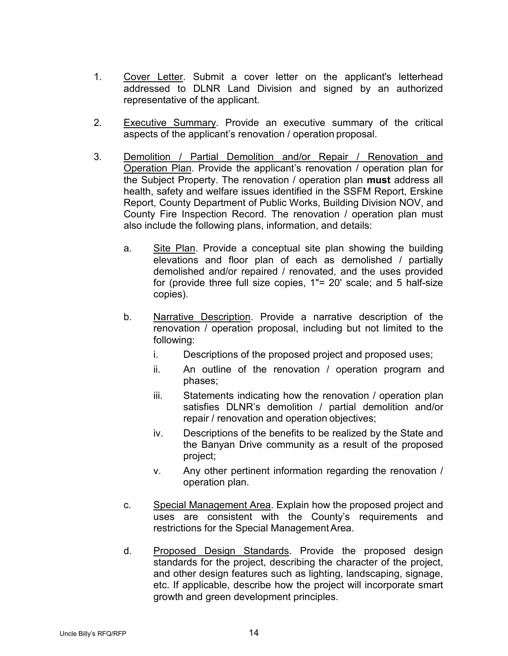- 1. Cover Letter. Submit a cover letter on the applicant's letterhead addressed to DLNR Land Division and signed by an authorized representative of the applicant.
- 2. Executive Summary. Provide an executive summary of the critical aspects of the applicant's renovation / operation proposal.
- 3. Demolition / Partial Demolition and/or Repair / Renovation and Operation Plan. Provide the applicant's renovation / operation plan for the Subject Property. The renovation / operation plan **must** address all health, safety and welfare issues identified in the SSFM Report, Erskine Report, County Department of Public Works, Building Division NOV, and County Fire Inspection Record. The renovation / operation plan must also include the following plans, information, and details:
	- a. Site Plan. Provide a conceptual site plan showing the building elevations and floor plan of each as demolished / partially demolished and/or repaired / renovated, and the uses provided for (provide three full size copies, 1"= 20' scale; and 5 half-size copies).
	- b. Narrative Description. Provide a narrative description of the renovation / operation proposal, including but not limited to the following:
		- i. Descriptions of the proposed project and proposed uses;
		- ii. An outline of the renovation / operation program and phases;
		- iii. Statements indicating how the renovation / operation plan satisfies DLNR's demolition / partial demolition and/or repair / renovation and operation objectives;
		- iv. Descriptions of the benefits to be realized by the State and the Banyan Drive community as a result of the proposed project;
		- v. Any other pertinent information regarding the renovation / operation plan.
	- c. Special Management Area. Explain how the proposed project and uses are consistent with the County's requirements and restrictions for the Special Management Area.
	- d. Proposed Design Standards. Provide the proposed design standards for the project, describing the character of the project, and other design features such as lighting, landscaping, signage, etc. If applicable, describe how the project will incorporate smart growth and green development principles.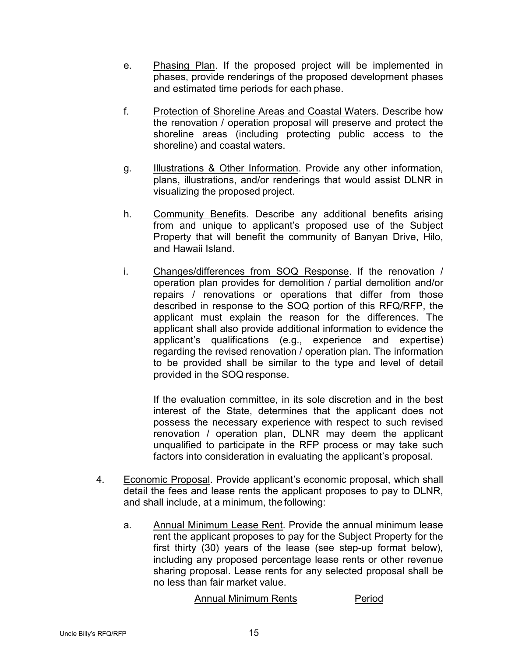- e. Phasing Plan. If the proposed project will be implemented in phases, provide renderings of the proposed development phases and estimated time periods for each phase.
- f. Protection of Shoreline Areas and Coastal Waters. Describe how the renovation / operation proposal will preserve and protect the shoreline areas (including protecting public access to the shoreline) and coastal waters.
- g. **Illustrations & Other Information**. Provide any other information, plans, illustrations, and/or renderings that would assist DLNR in visualizing the proposed project.
- h. Community Benefits. Describe any additional benefits arising from and unique to applicant's proposed use of the Subject Property that will benefit the community of Banyan Drive, Hilo, and Hawaii Island.
- i. Changes/differences from SOQ Response. If the renovation / operation plan provides for demolition / partial demolition and/or repairs / renovations or operations that differ from those described in response to the SOQ portion of this RFQ/RFP, the applicant must explain the reason for the differences. The applicant shall also provide additional information to evidence the applicant's qualifications (e.g., experience and expertise) regarding the revised renovation / operation plan. The information to be provided shall be similar to the type and level of detail provided in the SOQ response.

If the evaluation committee, in its sole discretion and in the best interest of the State, determines that the applicant does not possess the necessary experience with respect to such revised renovation / operation plan, DLNR may deem the applicant unqualified to participate in the RFP process or may take such factors into consideration in evaluating the applicant's proposal.

- 4. Economic Proposal. Provide applicant's economic proposal, which shall detail the fees and lease rents the applicant proposes to pay to DLNR, and shall include, at a minimum, the following:
	- a. Annual Minimum Lease Rent. Provide the annual minimum lease rent the applicant proposes to pay for the Subject Property for the first thirty (30) years of the lease (see step-up format below), including any proposed percentage lease rents or other revenue sharing proposal. Lease rents for any selected proposal shall be no less than fair market value.

#### Annual Minimum Rents **Period**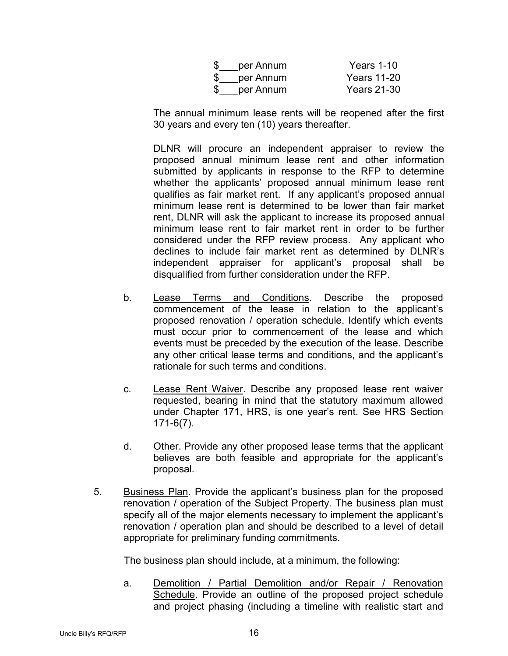| \$<br>per Annum | Years 1-10         |
|-----------------|--------------------|
| \$<br>per Annum | <b>Years 11-20</b> |
| \$<br>per Annum | <b>Years 21-30</b> |

The annual minimum lease rents will be reopened after the first 30 years and every ten (10) years thereafter.

DLNR will procure an independent appraiser to review the proposed annual minimum lease rent and other information submitted by applicants in response to the RFP to determine whether the applicants' proposed annual minimum lease rent qualifies as fair market rent. If any applicant's proposed annual minimum lease rent is determined to be lower than fair market rent, DLNR will ask the applicant to increase its proposed annual minimum lease rent to fair market rent in order to be further considered under the RFP review process. Any applicant who declines to include fair market rent as determined by DLNR's independent appraiser for applicant's proposal shall be disqualified from further consideration under the RFP.

- b. Lease Terms and Conditions. Describe the proposed commencement of the lease in relation to the applicant's proposed renovation / operation schedule. Identify which events must occur prior to commencement of the lease and which events must be preceded by the execution of the lease. Describe any other critical lease terms and conditions, and the applicant's rationale for such terms and conditions.
- c. Lease Rent Waiver. Describe any proposed lease rent waiver requested, bearing in mind that the statutory maximum allowed under Chapter 171, HRS, is one year's rent. See HRS Section 171-6(7).
- d. Other. Provide any other proposed lease terms that the applicant believes are both feasible and appropriate for the applicant's proposal.
- 5. Business Plan. Provide the applicant's business plan for the proposed renovation / operation of the Subject Property. The business plan must specify all of the major elements necessary to implement the applicant's renovation / operation plan and should be described to a level of detail appropriate for preliminary funding commitments.

The business plan should include, at a minimum, the following:

a. Demolition / Partial Demolition and/or Repair / Renovation Schedule. Provide an outline of the proposed project schedule and project phasing (including a timeline with realistic start and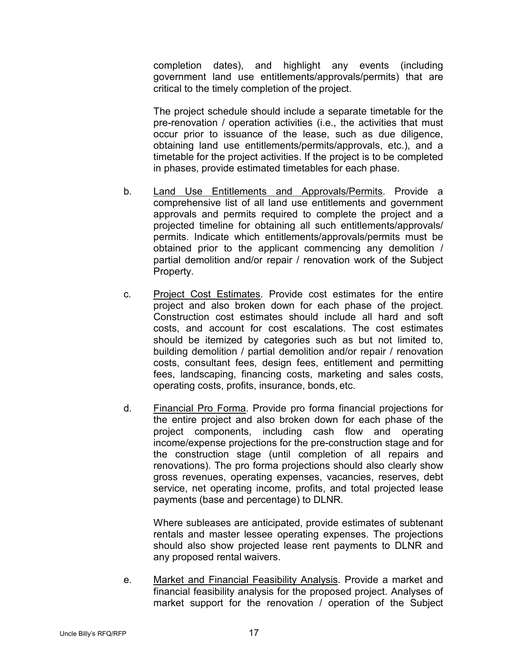completion dates), and highlight any events (including government land use entitlements/approvals/permits) that are critical to the timely completion of the project.

The project schedule should include a separate timetable for the pre-renovation / operation activities (i.e., the activities that must occur prior to issuance of the lease, such as due diligence, obtaining land use entitlements/permits/approvals, etc.), and a timetable for the project activities. If the project is to be completed in phases, provide estimated timetables for each phase.

- b. Land Use Entitlements and Approvals/Permits. Provide a comprehensive list of all land use entitlements and government approvals and permits required to complete the project and a projected timeline for obtaining all such entitlements/approvals/ permits. Indicate which entitlements/approvals/permits must be obtained prior to the applicant commencing any demolition / partial demolition and/or repair / renovation work of the Subject Property.
- c. Project Cost Estimates. Provide cost estimates for the entire project and also broken down for each phase of the project. Construction cost estimates should include all hard and soft costs, and account for cost escalations. The cost estimates should be itemized by categories such as but not limited to, building demolition / partial demolition and/or repair / renovation costs, consultant fees, design fees, entitlement and permitting fees, landscaping, financing costs, marketing and sales costs, operating costs, profits, insurance, bonds, etc.
- d. Financial Pro Forma. Provide pro forma financial projections for the entire project and also broken down for each phase of the project components, including cash flow and operating income/expense projections for the pre-construction stage and for the construction stage (until completion of all repairs and renovations). The pro forma projections should also clearly show gross revenues, operating expenses, vacancies, reserves, debt service, net operating income, profits, and total projected lease payments (base and percentage) to DLNR.

Where subleases are anticipated, provide estimates of subtenant rentals and master lessee operating expenses. The projections should also show projected lease rent payments to DLNR and any proposed rental waivers.

e. Market and Financial Feasibility Analysis. Provide a market and financial feasibility analysis for the proposed project. Analyses of market support for the renovation / operation of the Subject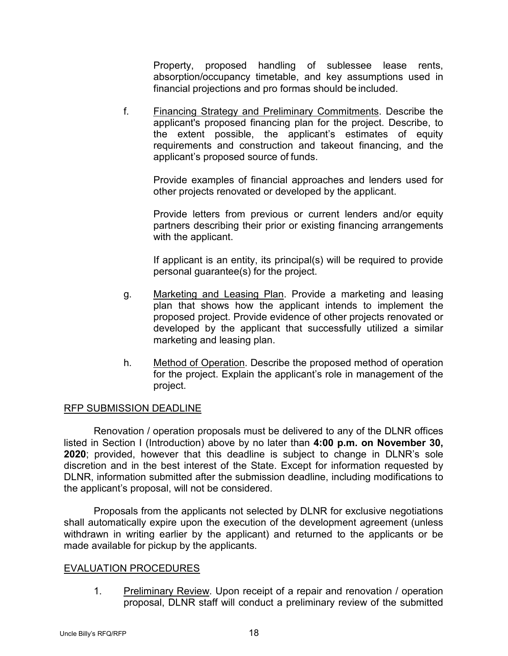Property, proposed handling of sublessee lease rents, absorption/occupancy timetable, and key assumptions used in financial projections and pro formas should be included.

f. Financing Strategy and Preliminary Commitments. Describe the applicant's proposed financing plan for the project. Describe, to the extent possible, the applicant's estimates of equity requirements and construction and takeout financing, and the applicant's proposed source of funds.

Provide examples of financial approaches and lenders used for other projects renovated or developed by the applicant.

Provide letters from previous or current lenders and/or equity partners describing their prior or existing financing arrangements with the applicant.

If applicant is an entity, its principal(s) will be required to provide personal guarantee(s) for the project.

- g. Marketing and Leasing Plan. Provide a marketing and leasing plan that shows how the applicant intends to implement the proposed project. Provide evidence of other projects renovated or developed by the applicant that successfully utilized a similar marketing and leasing plan.
- h. Method of Operation. Describe the proposed method of operation for the project. Explain the applicant's role in management of the project.

# RFP SUBMISSION DEADLINE

Renovation / operation proposals must be delivered to any of the DLNR offices listed in Section I (Introduction) above by no later than **4:00 p.m. on November 30, 2020**; provided, however that this deadline is subject to change in DLNR's sole discretion and in the best interest of the State. Except for information requested by DLNR, information submitted after the submission deadline, including modifications to the applicant's proposal, will not be considered.

Proposals from the applicants not selected by DLNR for exclusive negotiations shall automatically expire upon the execution of the development agreement (unless withdrawn in writing earlier by the applicant) and returned to the applicants or be made available for pickup by the applicants.

# EVALUATION PROCEDURES

1. Preliminary Review. Upon receipt of a repair and renovation / operation proposal, DLNR staff will conduct a preliminary review of the submitted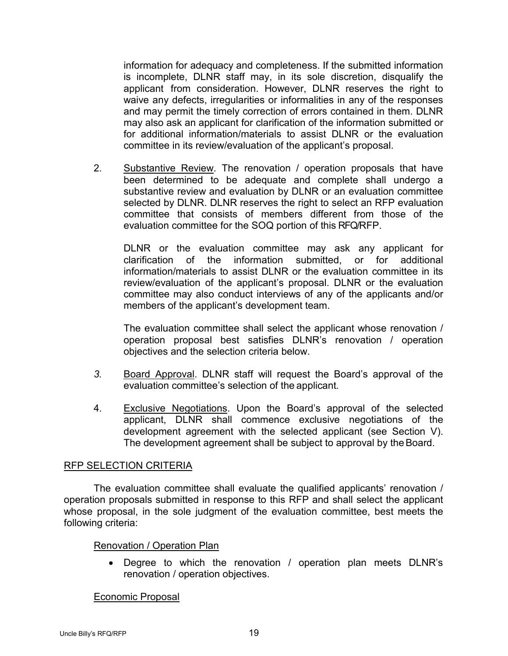information for adequacy and completeness. If the submitted information is incomplete, DLNR staff may, in its sole discretion, disqualify the applicant from consideration. However, DLNR reserves the right to waive any defects, irregularities or informalities in any of the responses and may permit the timely correction of errors contained in them. DLNR may also ask an applicant for clarification of the information submitted or for additional information/materials to assist DLNR or the evaluation committee in its review/evaluation of the applicant's proposal.

2. Substantive Review. The renovation / operation proposals that have been determined to be adequate and complete shall undergo a substantive review and evaluation by DLNR or an evaluation committee selected by DLNR. DLNR reserves the right to select an RFP evaluation committee that consists of members different from those of the evaluation committee for the SOQ portion of this RFQ/RFP.

DLNR or the evaluation committee may ask any applicant for clarification of the information submitted, or for additional information/materials to assist DLNR or the evaluation committee in its review/evaluation of the applicant's proposal. DLNR or the evaluation committee may also conduct interviews of any of the applicants and/or members of the applicant's development team.

The evaluation committee shall select the applicant whose renovation / operation proposal best satisfies DLNR's renovation / operation objectives and the selection criteria below.

- *3.* Board Approval. DLNR staff will request the Board's approval of the evaluation committee's selection of the applicant*.*
- 4. Exclusive Negotiations. Upon the Board's approval of the selected applicant, DLNR shall commence exclusive negotiations of the development agreement with the selected applicant (see Section V). The development agreement shall be subject to approval by the Board.

#### RFP SELECTION CRITERIA

The evaluation committee shall evaluate the qualified applicants' renovation / operation proposals submitted in response to this RFP and shall select the applicant whose proposal, in the sole judgment of the evaluation committee, best meets the following criteria:

# Renovation / Operation Plan

• Degree to which the renovation / operation plan meets DLNR's renovation / operation objectives.

# Economic Proposal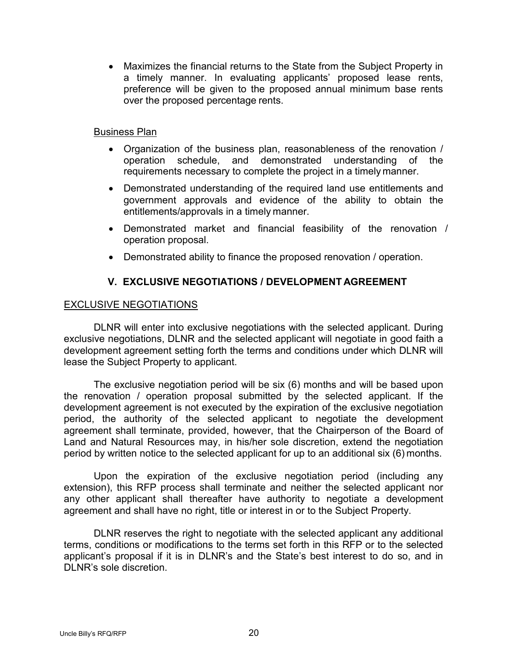• Maximizes the financial returns to the State from the Subject Property in a timely manner. In evaluating applicants' proposed lease rents, preference will be given to the proposed annual minimum base rents over the proposed percentage rents.

#### Business Plan

- Organization of the business plan, reasonableness of the renovation / operation schedule, and demonstrated understanding of the requirements necessary to complete the project in a timely manner.
- Demonstrated understanding of the required land use entitlements and government approvals and evidence of the ability to obtain the entitlements/approvals in a timely manner.
- Demonstrated market and financial feasibility of the renovation / operation proposal.
- Demonstrated ability to finance the proposed renovation / operation.

# **V. EXCLUSIVE NEGOTIATIONS / DEVELOPMENT AGREEMENT**

## EXCLUSIVE NEGOTIATIONS

DLNR will enter into exclusive negotiations with the selected applicant. During exclusive negotiations, DLNR and the selected applicant will negotiate in good faith a development agreement setting forth the terms and conditions under which DLNR will lease the Subject Property to applicant.

The exclusive negotiation period will be six (6) months and will be based upon the renovation / operation proposal submitted by the selected applicant. If the development agreement is not executed by the expiration of the exclusive negotiation period, the authority of the selected applicant to negotiate the development agreement shall terminate, provided, however, that the Chairperson of the Board of Land and Natural Resources may, in his/her sole discretion, extend the negotiation period by written notice to the selected applicant for up to an additional six (6) months.

Upon the expiration of the exclusive negotiation period (including any extension), this RFP process shall terminate and neither the selected applicant nor any other applicant shall thereafter have authority to negotiate a development agreement and shall have no right, title or interest in or to the Subject Property.

DLNR reserves the right to negotiate with the selected applicant any additional terms, conditions or modifications to the terms set forth in this RFP or to the selected applicant's proposal if it is in DLNR's and the State's best interest to do so, and in DLNR's sole discretion.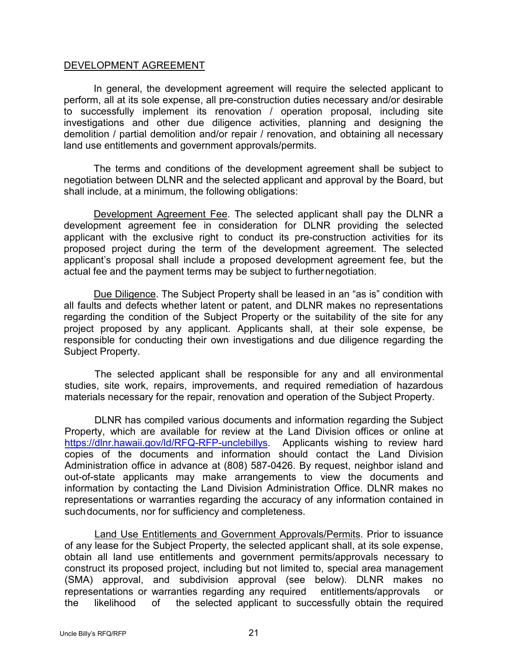#### DEVELOPMENT AGREEMENT

In general, the development agreement will require the selected applicant to perform, all at its sole expense, all pre-construction duties necessary and/or desirable to successfully implement its renovation / operation proposal, including site investigations and other due diligence activities, planning and designing the demolition / partial demolition and/or repair / renovation, and obtaining all necessary land use entitlements and government approvals/permits*.*

The terms and conditions of the development agreement shall be subject to negotiation between DLNR and the selected applicant and approval by the Board, but shall include, at a minimum, the following obligations:

Development Agreement Fee. The selected applicant shall pay the DLNR a development agreement fee in consideration for DLNR providing the selected applicant with the exclusive right to conduct its pre-construction activities for its proposed project during the term of the development agreement. The selected applicant's proposal shall include a proposed development agreement fee, but the actual fee and the payment terms may be subject to furthernegotiation.

Due Diligence. The Subject Property shall be leased in an "as is" condition with all faults and defects whether latent or patent, and DLNR makes no representations regarding the condition of the Subject Property or the suitability of the site for any project proposed by any applicant. Applicants shall, at their sole expense, be responsible for conducting their own investigations and due diligence regarding the Subject Property.

The selected applicant shall be responsible for any and all environmental studies, site work, repairs, improvements, and required remediation of hazardous materials necessary for the repair, renovation and operation of the Subject Property.

DLNR has compiled various documents and information regarding the Subject Property, which are available for review at the Land Division offices or online at [https://dlnr.hawaii.gov/ld/RFQ-RFP-unclebillys.](https://dlnr.hawaii.gov/ld/RFQ-RFP-unclebillys) Applicants wishing to review hard copies of the documents and information should contact the Land Division Administration office in advance at (808) 587-0426. By request, neighbor island and out-of-state applicants may make arrangements to view the documents and information by contacting the Land Division Administration Office. DLNR makes no representations or warranties regarding the accuracy of any information contained in such documents, nor for sufficiency and completeness.

Land Use Entitlements and Government Approvals/Permits. Prior to issuance of any lease for the Subject Property, the selected applicant shall, at its sole expense, obtain all land use entitlements and government permits/approvals necessary to construct its proposed project, including but not limited to, special area management (SMA) approval, and subdivision approval (see below). DLNR makes no representations or warranties regarding any required entitlements/approvals or the likelihood of the selected applicant to successfully obtain the required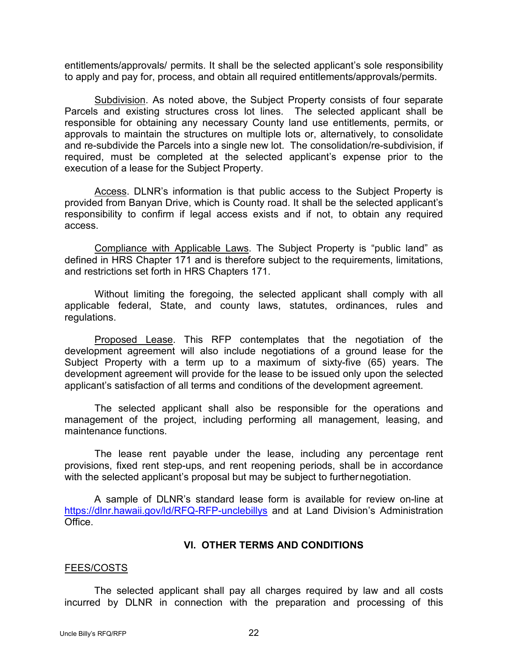entitlements/approvals/ permits. It shall be the selected applicant's sole responsibility to apply and pay for, process, and obtain all required entitlements/approvals/permits.

Subdivision. As noted above, the Subject Property consists of four separate Parcels and existing structures cross lot lines. The selected applicant shall be responsible for obtaining any necessary County land use entitlements, permits, or approvals to maintain the structures on multiple lots or, alternatively, to consolidate and re-subdivide the Parcels into a single new lot. The consolidation/re-subdivision, if required, must be completed at the selected applicant's expense prior to the execution of a lease for the Subject Property.

Access. DLNR's information is that public access to the Subject Property is provided from Banyan Drive, which is County road. It shall be the selected applicant's responsibility to confirm if legal access exists and if not, to obtain any required access.

Compliance with Applicable Laws. The Subject Property is "public land" as defined in HRS Chapter 171 and is therefore subject to the requirements, limitations, and restrictions set forth in HRS Chapters 171.

Without limiting the foregoing, the selected applicant shall comply with all applicable federal, State, and county laws, statutes, ordinances, rules and regulations.

Proposed Lease. This RFP contemplates that the negotiation of the development agreement will also include negotiations of a ground lease for the Subject Property with a term up to a maximum of sixty-five (65) years. The development agreement will provide for the lease to be issued only upon the selected applicant's satisfaction of all terms and conditions of the development agreement.

The selected applicant shall also be responsible for the operations and management of the project, including performing all management, leasing, and maintenance functions.

The lease rent payable under the lease, including any percentage rent provisions, fixed rent step-ups, and rent reopening periods, shall be in accordance with the selected applicant's proposal but may be subject to furthernegotiation.

A sample of DLNR's standard lease form is available for review on-line at <https://dlnr.hawaii.gov/ld/RFQ-RFP-unclebillys> and at Land Division's Administration Office

#### **VI. OTHER TERMS AND CONDITIONS**

#### FEES/COSTS

The selected applicant shall pay all charges required by law and all costs incurred by DLNR in connection with the preparation and processing of this